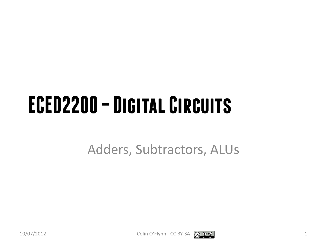### **ECED2200 –Digital Circuits**

Adders, Subtractors, ALUs

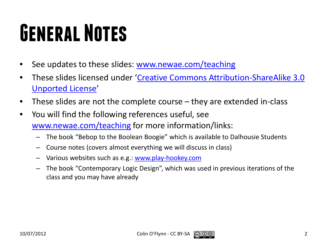# **General Notes**

- See updates to these slides: [www.newae.com/teaching](http://www.newae.com/teaching)
- These slides licensed under '[Creative Commons Attribution-ShareAlike](http://creativecommons.org/licenses/by-sa/3.0/) 3.0 [Unported](http://creativecommons.org/licenses/by-sa/3.0/) License'
- These slides are not the complete course they are extended in-class
- You will find the following references useful, see [www.newae.com/teaching](http://www.newae.com/teaching) for more information/links:
	- The book "Bebop to the Boolean Boogie" which is available to Dalhousie Students
	- Course notes (covers almost everything we will discuss in class)
	- Various websites such as e.g.: [www.play-hookey.com](http://www.play-hookey.com/)
	- The book "Contemporary Logic Design", which was used in previous iterations of the class and you may have already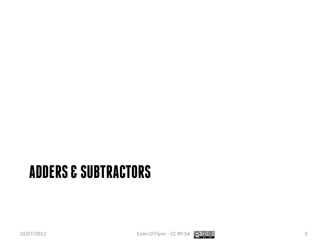#### **ADDERS & SUBTRACTORS**

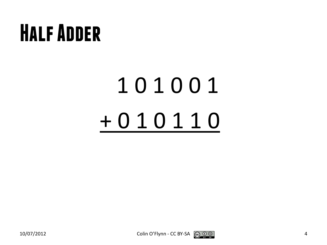#### **Half Adder**

# 1 0 1 0 0 1 + 0 1 0 1 1 0

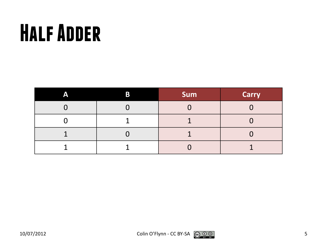### **Half Adder**

| A | B | <b>Sum</b> | <b>Carry</b> |
|---|---|------------|--------------|
|   |   |            |              |
|   |   |            |              |
|   |   |            |              |
|   |   |            |              |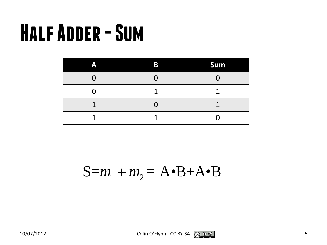#### **Half Adder -Sum**

| Α | B | Sum |
|---|---|-----|
|   |   |     |
|   |   |     |
| ı |   |     |
|   |   |     |

$$
S = m_1 + m_2 = \overline{A} \cdot B + A \cdot \overline{B}
$$

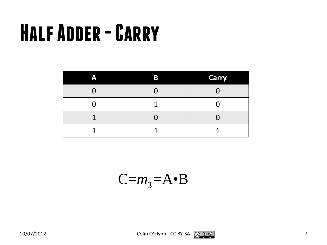### **Half Adder -Carry**

| Α | Β | <b>Carry</b> |
|---|---|--------------|
|   |   |              |
|   |   |              |
|   |   |              |
|   |   |              |

 $C=m_3 = A \cdot B$ 



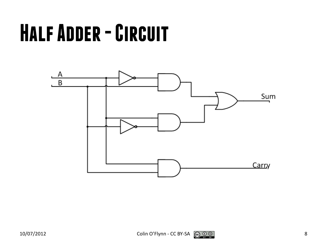### **Half Adder -Circuit**

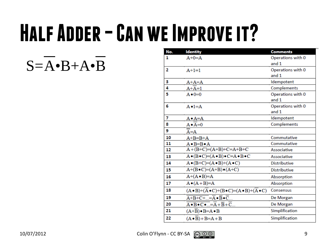# **Half Adder –Can we Improve it?**

 $S = A \cdot B + A \cdot B$ 

| No. | <b>Identity</b>                                                                             | <b>Comments</b>     |
|-----|---------------------------------------------------------------------------------------------|---------------------|
| 1   | $A+0=A$                                                                                     | Operations with 0   |
|     |                                                                                             | and $1$             |
| 2   | $A+1=1$                                                                                     | Operations with 0   |
|     |                                                                                             | and 1               |
| з   | $A+A=A$                                                                                     | Idempotent          |
| 4   | $A+A=1$                                                                                     | Complements         |
| 5   | $A \bullet 0 = 0$                                                                           | Operations with 0   |
|     |                                                                                             | and 1               |
| 6   | $A \bullet 1 = A$                                                                           | Operations with 0   |
|     |                                                                                             | and 1               |
| 7   | $A \bullet A = A$                                                                           | Idempotent          |
| 8   | $A \bullet A = 0$                                                                           | Complements         |
| 9   | A=A                                                                                         |                     |
| 10  | $A+B=B+A$                                                                                   | Commutative         |
| 11  | $A \cdot B = B \cdot A$                                                                     | Commutative         |
| 12  | $A+(B+C)=(A+B)+C=A+B+C$                                                                     | Associative         |
| 13  | $A \bullet (B \bullet C) = (A \bullet B) \bullet C = A \bullet B \bullet C$                 | Associative         |
| 14  | $A \bullet (B+C)=(A \bullet B)+(A \bullet C)$                                               | <b>Distributive</b> |
| 15  | $A+(B\bullet C)=(A+B)\bullet (A+C)$                                                         | <b>Distributive</b> |
| 16  | $A+(A \bullet B)=A$                                                                         | Absorption          |
| 17  | $A \bullet (A + B)=A$                                                                       | Absorption          |
| 18  | $(A \cdot B) + (\overline{A} \cdot C) + (B \cdot C) = (A \cdot B) + (\overline{A} \cdot C)$ | Consensus           |
| 19  | $\overline{A+B+C+}=\overline{A}\bullet\overline{B}\bullet\overline{C}$                      | De Morgan           |
| 20  | $\overline{A \bullet B \bullet C \bullet } = \overline{A} + \overline{B} + \overline{C}$    | De Morgan           |
| 21  | $(A+B) \cdot B = A \cdot B$                                                                 | Simplification      |
| 22  | $(A \cdot B) + B = A + B$                                                                   | Simplification      |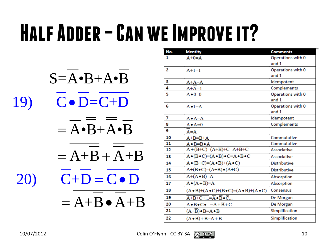# **Half Adder –Can we Improve it?**

 $S = A \cdot B + A \cdot B$ 19)  $C \cdot D = C + D$  $= A \cdot B + A \cdot B$  $= A + B + A + B$  $20)$   $C+D=C\bullet D$  $= A+B \cdot A+B$ 

| No.            | <b>Identity</b>                                                                                      | <b>Comments</b>     |
|----------------|------------------------------------------------------------------------------------------------------|---------------------|
| 1              | $A+0=A$                                                                                              | Operations with 0   |
|                |                                                                                                      | and 1               |
| $\overline{2}$ | $A+1=1$                                                                                              | Operations with 0   |
|                |                                                                                                      | and $1$             |
| з              | $A+A=A$                                                                                              | Idempotent          |
| 4              | $A+A=1$                                                                                              | Complements         |
| 5              | $A \bullet 0 = 0$                                                                                    | Operations with 0   |
|                |                                                                                                      | and 1               |
| 6              | $A \cdot 1 = A$                                                                                      | Operations with 0   |
|                |                                                                                                      | and 1               |
| 7              | A∙A=A                                                                                                | Idempotent          |
| 8              | $A \bullet A = 0$                                                                                    | Complements         |
| 9              | $A = A$                                                                                              |                     |
| 10             | $A+B=B+A$                                                                                            | Commutative         |
| 11             | $A \cdot B = B \cdot A$                                                                              | Commutative         |
| 12             | $A+(B+C)=(A+B)+C=A+B+C$                                                                              | Associative         |
| 13             | $A \bullet (B \bullet C) = (A \bullet B) \bullet C = A \bullet B \bullet C$                          | Associative         |
| 14             | $A \bullet (B+C)=(A \bullet B)+(A \bullet C)$                                                        | <b>Distributive</b> |
| 15             | $A+(B\bullet C)=(A+B)\bullet (A+C)$                                                                  | <b>Distributive</b> |
| 16             | $A+(A \bullet B)=A$                                                                                  | Absorption          |
| 17             | $A \bullet (A + B)=A$                                                                                | Absorption          |
| 18             | $(A \cdot B) + (\overline{A} \cdot C) + (B \cdot C) = (A \cdot B) + (\overline{A} \cdot C)$          | Consensus           |
| 19             | $\overline{A+B+C+}=\overline{A}\bullet\overline{B}\bullet\overline{C}$                               | De Morgan           |
| 20             | $A \bullet \overline{B} \bullet \overline{C} \bullet  = \overline{A} + \overline{B} + \overline{C} $ | De Morgan           |
| 21             | $(A+\overline{B}) \bullet B = A \bullet B$                                                           | Simplification      |
| 22             | $(A \cdot B) + B = A + B$                                                                            | Simplification      |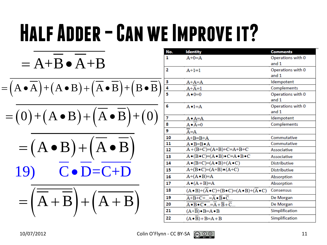# HALF ADDER – CAN WE IMPROVE IT?

$$
= (A \bullet B) + (A \bullet B) + (B \bullet \overline{B}) + (B \bullet \overline{B})
$$
\n
$$
= (A \bullet B) + (A \bullet B) + (B \bullet \overline{B}) + (B \bullet \overline{B})
$$
\n
$$
= (A \bullet B) + (A \bullet B) + (B \bullet \overline{B}) + (B \bullet \overline{B})
$$
\n
$$
= (A \bullet B) + (A \bullet B) + (A \bullet \overline{B}) + (B \bullet \overline{B})
$$
\n
$$
= (A \bullet B) + (A \bullet B) + (A \bullet \overline{B}) + (B \bullet \overline{B})
$$
\n
$$
= (A \bullet B) + (A \bullet \overline{B}) + (B \bullet \overline{B})
$$
\n
$$
= (A \bullet B) + (A \bullet \overline{B}) + (B \bullet \overline{B})
$$
\n
$$
= (A \bullet B) + (A \bullet \overline{B}) + (B \bullet \overline{B})
$$
\n
$$
= (A \bullet B) + (A \bullet \overline{B})
$$
\n
$$
= (A \bullet B) + (A \bullet \overline{B})
$$
\n
$$
= (A \bullet B) + (A \bullet \overline{B})
$$
\n
$$
= (A \bullet B) + (A \bullet \overline{B})
$$
\n
$$
= (A \bullet B) + (A \bullet \overline{B})
$$
\n
$$
= (A \bullet B) + (A \bullet \overline{B})
$$
\n
$$
= (A \bullet B) + (A \bullet \overline{B})
$$
\n
$$
= (A \bullet B) + (A \bullet B)
$$
\n
$$
= (A \bullet B) + (A \bullet B)
$$
\n
$$
= (A \bullet B) + (A \bullet B)
$$
\n
$$
= (A \bullet B) + (A \bullet B)
$$
\n
$$
= (A \bullet B) + (A \bullet B)
$$
\n
$$
= (A \bullet B) + (A \bullet B)
$$
\n
$$
= (A \bullet B) + (A \bullet B)
$$
\n
$$
= (A \bullet B) + (A \bullet B)
$$
\n
$$
= (A \bullet B) + (A \bullet B)
$$
\n
$$
= (A \bullet B) + (
$$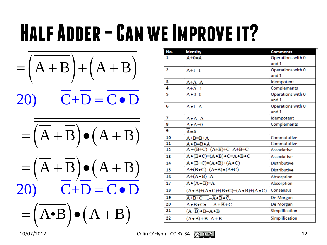# **Half Adder –Can we Improve it?**

$$
= \left(\overline{\overline{A} + \overline{B}}\right) + \left(\overline{A + B}\right)
$$

 $20)$   $C+D=C\bullet D$ 

$$
= \overline{\left(\overline{A} + \overline{B}\right) \bullet \left(A + B\right)}
$$

$$
= (\overline{A} + \overline{B}) \bullet (A + B)
$$
  
20) 
$$
\overline{C} + \overline{D} = \overline{C \bullet D}
$$

$$
= (\overline{A \bullet B}) \bullet (A + B)
$$

| No.            | <b>Identity</b>                                                                             | <b>Comments</b>     |
|----------------|---------------------------------------------------------------------------------------------|---------------------|
| 1              | $A+0=A$                                                                                     | Operations with 0   |
|                |                                                                                             | and 1               |
| $\overline{2}$ | $A+1=1$                                                                                     | Operations with 0   |
|                |                                                                                             | and 1               |
| з              | $A+A=A$                                                                                     | Idempotent          |
| 4              | $A+A=1$                                                                                     | Complements         |
| 5              | $A \bullet 0 = 0$                                                                           | Operations with 0   |
|                |                                                                                             | and 1               |
| 6              | $A \cdot 1 = A$                                                                             | Operations with 0   |
|                |                                                                                             | and 1               |
| 7              | $A \bullet A = A$                                                                           | Idempotent          |
| 8              | $A \bullet A = 0$                                                                           | Complements         |
| 9              | $A = A$                                                                                     |                     |
| 10             | $A+B=B+A$                                                                                   | Commutative         |
| 11             | $A \bullet B = B \bullet A$                                                                 | Commutative         |
| 12             | $A+(B+C)=(A+B)+C=A+B+C$                                                                     | Associative         |
| 13             | $A \bullet (B \bullet C) = (A \bullet B) \bullet C = A \bullet B \bullet C$                 | Associative         |
| 14             | $A \bullet (B+C)=(A \bullet B)+(A \bullet C)$                                               | <b>Distributive</b> |
| 15             | $A+(B\bullet C)=(A+B)\bullet (A+C)$                                                         | <b>Distributive</b> |
| 16             | $A+(A \bullet B)=A$                                                                         | Absorption          |
| 17             | $A \bullet (A + B)=A$                                                                       | Absorption          |
| 18             | $(A \cdot B) + (\overline{A} \cdot C) + (B \cdot C) = (A \cdot B) + (\overline{A} \cdot C)$ | Consensus           |
| 19             | $\overline{A+B+C+}=\overline{A}\bullet\overline{B}\bullet\overline{C}$                      | De Morgan           |
| 20             | $\overline{A \bullet B \bullet C \bullet } = \overline{A} + \overline{B} + \overline{C}$    | De Morgan           |
| 21             | $(A+B) \cdot B = A \cdot B$                                                                 | Simplification      |
| 22             | $(A \cdot \overline{B}) + B = A + B$                                                        | Simplification      |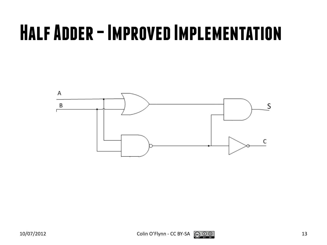#### **Half Adder –Improved Implementation**

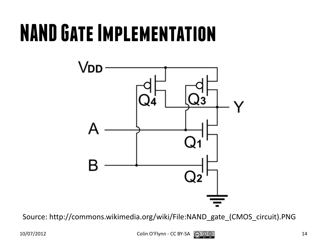#### **NAND Gate Implementation**



Source: http://commons.wikimedia.org/wiki/File:NAND\_gate\_(CMOS\_circuit).PNG

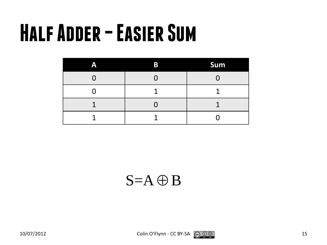### **Half Adder –Easier Sum**

| A | B | <b>Sum</b> |
|---|---|------------|
|   |   |            |
|   |   |            |
| ı |   |            |
|   |   |            |

 $S = A \oplus B$ 

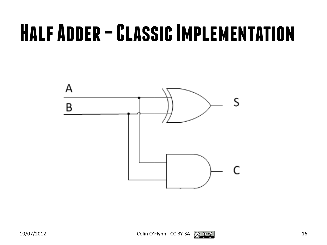#### **Half Adder –Classic Implementation**



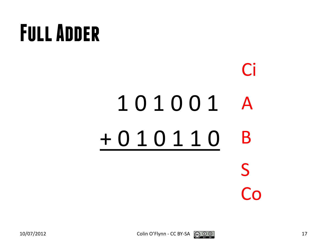# **Full Adder**

#### 1 0 1 0 0 1 + 0 1 0 1 1 0 A B S Co Ci

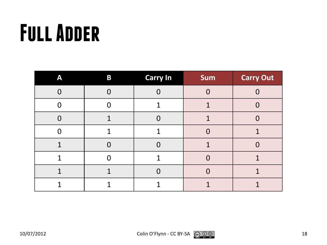# **Full Adder**

| A        | $\bf{B}$ | <b>Carry In</b> | Sum | <b>Carry Out</b> |
|----------|----------|-----------------|-----|------------------|
| $\Omega$ |          | $\Omega$        | 0   |                  |
| $\Omega$ |          | 1               |     |                  |
| $\Omega$ |          | $\Omega$        |     |                  |
| ∩        |          | 1               |     |                  |
|          |          | $\Omega$        |     |                  |
| 1        |          | 1               |     |                  |
|          |          | $\Omega$        |     |                  |
|          |          |                 |     |                  |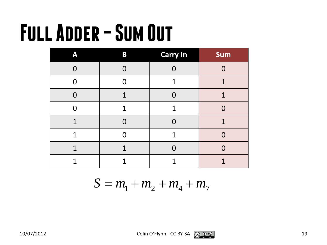# **Full Adder –Sum Out**

| A              | B      | <b>Carry In</b> | Sum |
|----------------|--------|-----------------|-----|
| $\Omega$       |        |                 |     |
| $\Omega$       | 0      | 1               | 1   |
| $\overline{0}$ | 1      | 0               | 1   |
| O              | 1      | 1               | 0   |
| 1              | $\Box$ | O               | 1   |
| 1              |        | 1               |     |
| 1              | 1      |                 |     |
|                |        |                 |     |

 $S = m_1 + m_2 + m_4 + m_7$ 

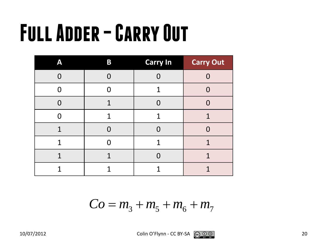# **Full Adder –Carry Out**

| Α           | B           | <b>Carry In</b> | <b>Carry Out</b> |
|-------------|-------------|-----------------|------------------|
| ⋂           |             | Ŋ               |                  |
|             |             | 1               |                  |
|             | 1           | Ω               |                  |
| ⋂           | 1           | 1               | 1                |
| $\mathbf 1$ | $\Box$      | 0               | $\Omega$         |
| 1           |             | 1               | 1                |
| 1           | $\mathbf 1$ | O               | 1                |
| 1           |             |                 |                  |

$$
Co = m_3 + m_5 + m_6 + m_7
$$

$$
10/07/2012 \t\t\t \text{Colin O'Flynn - CC BY-SA} \t\t \textcircled{9} \t\t \textcircled{9}
$$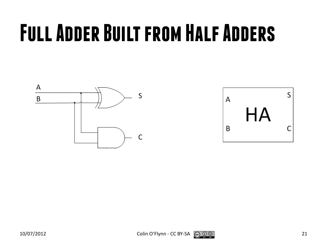# **Full Adder Built from Half Adders**





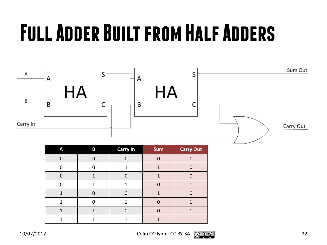# **Full Adder Built from Half Adders**



| A | B | <b>Carry In</b> | Sum | <b>Carry Out</b> |
|---|---|-----------------|-----|------------------|
|   |   |                 |     |                  |
|   |   |                 |     |                  |
|   |   |                 |     |                  |
|   |   |                 |     |                  |
|   |   |                 |     |                  |
|   |   |                 |     |                  |
|   |   |                 |     |                  |
|   |   |                 |     |                  |

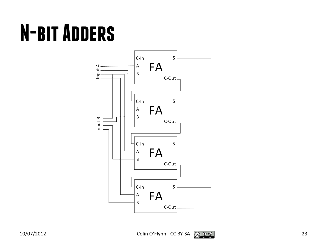# **N-bit Adders**



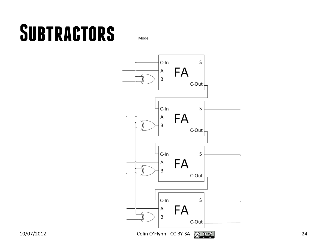### **Subtractors**

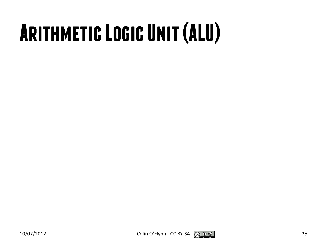# **Arithmetic Logic Unit (ALU)**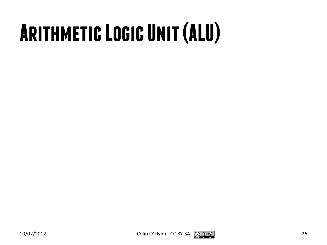# **Arithmetic Logic Unit (ALU)**